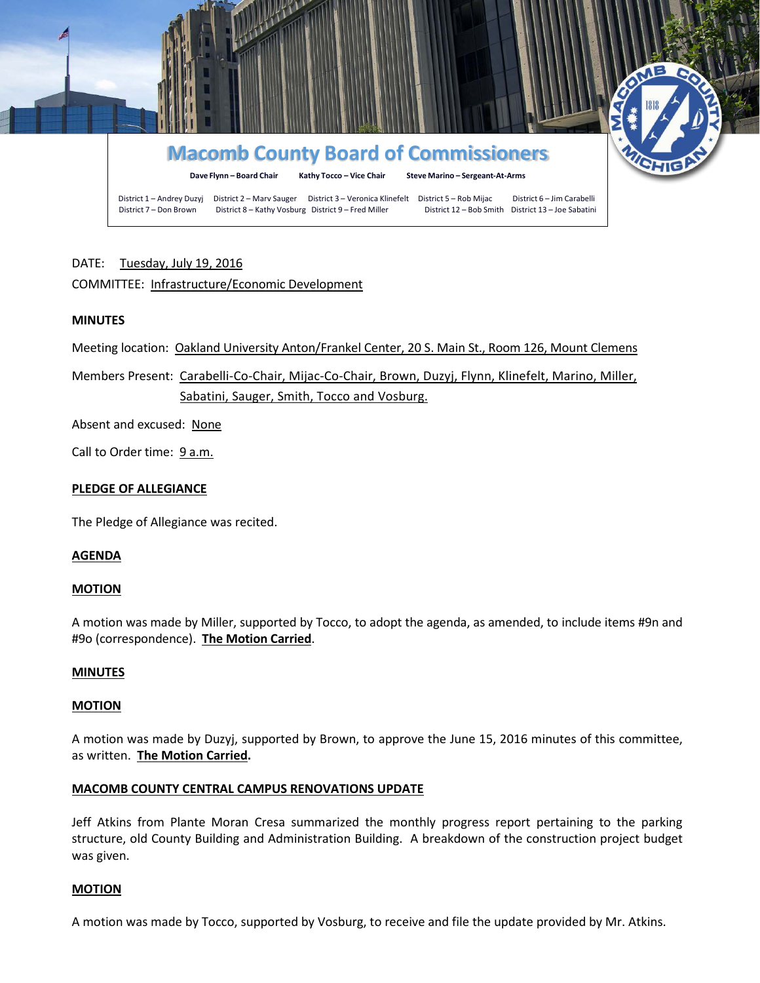

# DATE: Tuesday, July 19, 2016

# COMMITTEE: Infrastructure/Economic Development

### **MINUTES**

Meeting location: Oakland University Anton/Frankel Center, 20 S. Main St., Room 126, Mount Clemens

Members Present: Carabelli-Co-Chair, Mijac-Co-Chair, Brown, Duzyj, Flynn, Klinefelt, Marino, Miller, Sabatini, Sauger, Smith, Tocco and Vosburg.

Absent and excused: None

Call to Order time: 9 a.m.

### **PLEDGE OF ALLEGIANCE**

The Pledge of Allegiance was recited.

### **AGENDA**

### **MOTION**

A motion was made by Miller, supported by Tocco, to adopt the agenda, as amended, to include items #9n and #9o (correspondence). **The Motion Carried**.

### **MINUTES**

### **MOTION**

A motion was made by Duzyj, supported by Brown, to approve the June 15, 2016 minutes of this committee, as written. **The Motion Carried.**

### **MACOMB COUNTY CENTRAL CAMPUS RENOVATIONS UPDATE**

Jeff Atkins from Plante Moran Cresa summarized the monthly progress report pertaining to the parking structure, old County Building and Administration Building. A breakdown of the construction project budget was given.

### **MOTION**

A motion was made by Tocco, supported by Vosburg, to receive and file the update provided by Mr. Atkins.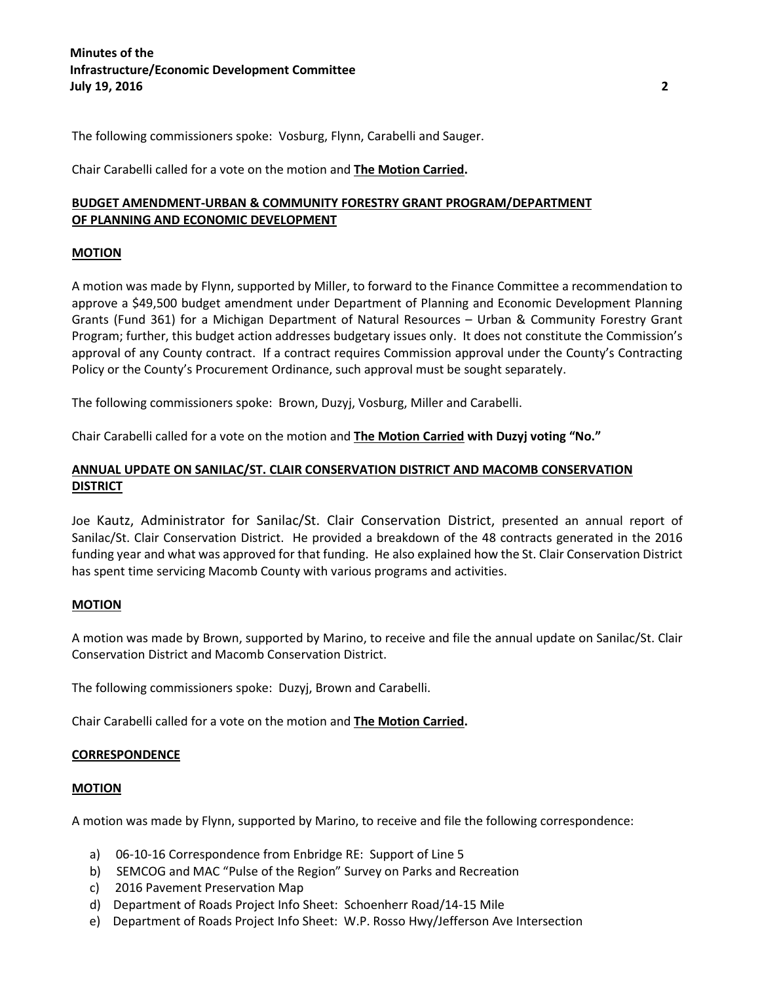# **Minutes of the Infrastructure/Economic Development Committee July 19, 2016 2**

The following commissioners spoke: Vosburg, Flynn, Carabelli and Sauger.

Chair Carabelli called for a vote on the motion and **The Motion Carried.**

# **BUDGET AMENDMENT-URBAN & COMMUNITY FORESTRY GRANT PROGRAM/DEPARTMENT OF PLANNING AND ECONOMIC DEVELOPMENT**

### **MOTION**

A motion was made by Flynn, supported by Miller, to forward to the Finance Committee a recommendation to approve a \$49,500 budget amendment under Department of Planning and Economic Development Planning Grants (Fund 361) for a Michigan Department of Natural Resources – Urban & Community Forestry Grant Program; further, this budget action addresses budgetary issues only. It does not constitute the Commission's approval of any County contract. If a contract requires Commission approval under the County's Contracting Policy or the County's Procurement Ordinance, such approval must be sought separately.

The following commissioners spoke: Brown, Duzyj, Vosburg, Miller and Carabelli.

Chair Carabelli called for a vote on the motion and **The Motion Carried with Duzyj voting "No."**

# **ANNUAL UPDATE ON SANILAC/ST. CLAIR CONSERVATION DISTRICT AND MACOMB CONSERVATION DISTRICT**

Joe Kautz, Administrator for Sanilac/St. Clair Conservation District, presented an annual report of Sanilac/St. Clair Conservation District. He provided a breakdown of the 48 contracts generated in the 2016 funding year and what was approved for that funding. He also explained how the St. Clair Conservation District has spent time servicing Macomb County with various programs and activities.

### **MOTION**

A motion was made by Brown, supported by Marino, to receive and file the annual update on Sanilac/St. Clair Conservation District and Macomb Conservation District.

The following commissioners spoke: Duzyj, Brown and Carabelli.

Chair Carabelli called for a vote on the motion and **The Motion Carried.**

### **CORRESPONDENCE**

### **MOTION**

A motion was made by Flynn, supported by Marino, to receive and file the following correspondence:

- a) 06-10-16 Correspondence from Enbridge RE: Support of Line 5
- b) SEMCOG and MAC "Pulse of the Region" Survey on Parks and Recreation
- c) 2016 Pavement Preservation Map
- d) Department of Roads Project Info Sheet: Schoenherr Road/14-15 Mile
- e) Department of Roads Project Info Sheet: W.P. Rosso Hwy/Jefferson Ave Intersection